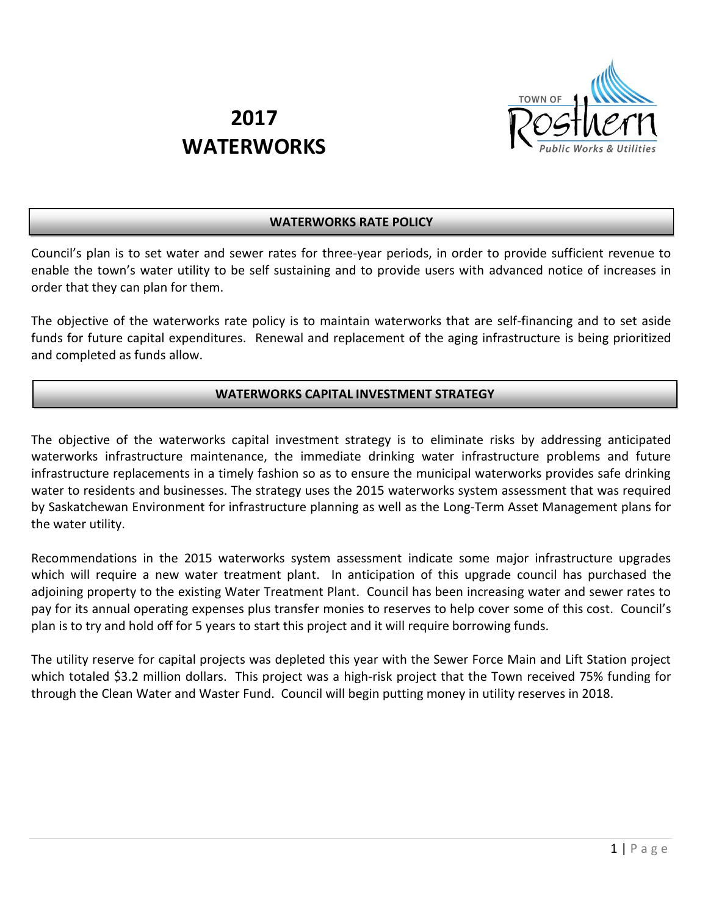

# **2017 WATERWORKS**

# **WATERWORKS RATE POLICY**

Council's plan is to set water and sewer rates for three-year periods, in order to provide sufficient revenue to enable the town's water utility to be self sustaining and to provide users with advanced notice of increases in order that they can plan for them.

The objective of the waterworks rate policy is to maintain waterworks that are self-financing and to set aside funds for future capital expenditures. Renewal and replacement of the aging infrastructure is being prioritized and completed as funds allow.

## **WATERWORKS CAPITAL INVESTMENT STRATEGY**

The objective of the waterworks capital investment strategy is to eliminate risks by addressing anticipated waterworks infrastructure maintenance, the immediate drinking water infrastructure problems and future infrastructure replacements in a timely fashion so as to ensure the municipal waterworks provides safe drinking water to residents and businesses. The strategy uses the 2015 waterworks system assessment that was required by Saskatchewan Environment for infrastructure planning as well as the Long-Term Asset Management plans for the water utility.

Recommendations in the 2015 waterworks system assessment indicate some major infrastructure upgrades which will require a new water treatment plant. In anticipation of this upgrade council has purchased the adjoining property to the existing Water Treatment Plant. Council has been increasing water and sewer rates to pay for its annual operating expenses plus transfer monies to reserves to help cover some of this cost. Council's plan is to try and hold off for 5 years to start this project and it will require borrowing funds.

The utility reserve for capital projects was depleted this year with the Sewer Force Main and Lift Station project which totaled \$3.2 million dollars. This project was a high-risk project that the Town received 75% funding for through the Clean Water and Waster Fund. Council will begin putting money in utility reserves in 2018.